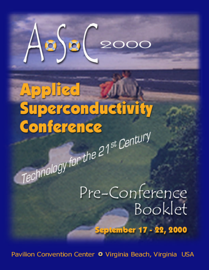

# **Paricel** Superconductivity Conference Technology for the 21<sup>st</sup> Century

Pre-Conference Booklet

**September 17 - 22, 2000** 

Pavilion Convention Center <sup>o</sup> Virginia Beach, Virginia USA